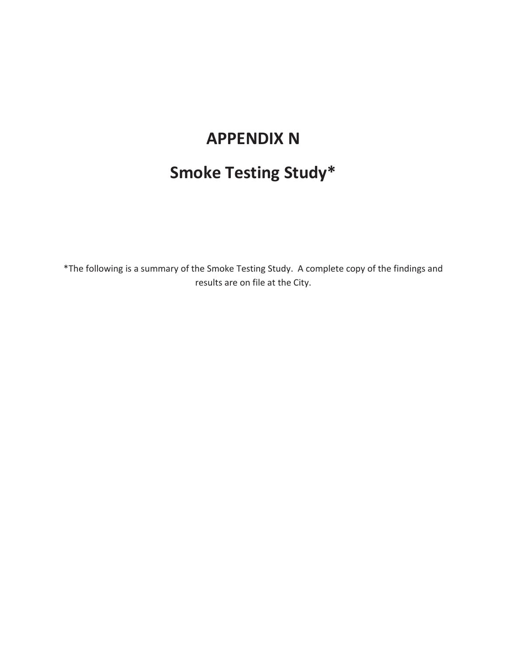## **APPENDIX N**

# **Smoke Testing Study\***

\*The following is a summary of the Smoke Testing Study. A complete copy of the findings and results are on file at the City.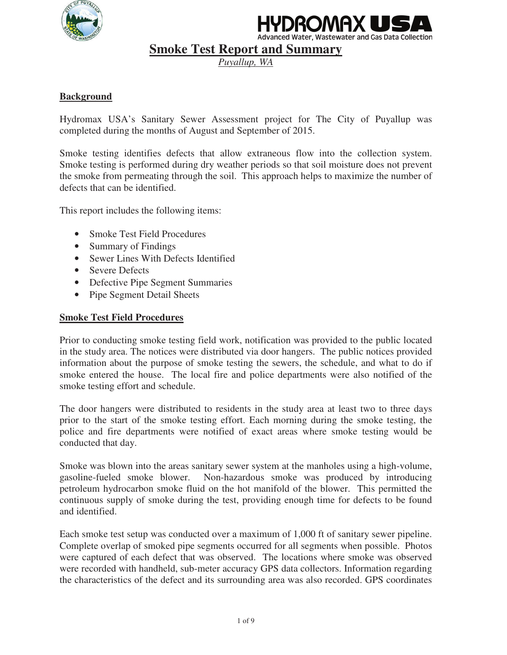



**Smoke Test Report and Summary** 

*Puyallup, WA* 

## **Background**

Hydromax USA's Sanitary Sewer Assessment project for The City of Puyallup was completed during the months of August and September of 2015.

Smoke testing identifies defects that allow extraneous flow into the collection system. Smoke testing is performed during dry weather periods so that soil moisture does not prevent the smoke from permeating through the soil. This approach helps to maximize the number of defects that can be identified.

This report includes the following items:

- Smoke Test Field Procedures
- Summary of Findings
- Sewer Lines With Defects Identified
- Severe Defects
- Defective Pipe Segment Summaries
- Pipe Segment Detail Sheets

#### **Smoke Test Field Procedures**

Prior to conducting smoke testing field work, notification was provided to the public located in the study area. The notices were distributed via door hangers. The public notices provided information about the purpose of smoke testing the sewers, the schedule, and what to do if smoke entered the house. The local fire and police departments were also notified of the smoke testing effort and schedule.

The door hangers were distributed to residents in the study area at least two to three days prior to the start of the smoke testing effort. Each morning during the smoke testing, the police and fire departments were notified of exact areas where smoke testing would be conducted that day.

Smoke was blown into the areas sanitary sewer system at the manholes using a high-volume, gasoline-fueled smoke blower. Non-hazardous smoke was produced by introducing petroleum hydrocarbon smoke fluid on the hot manifold of the blower. This permitted the continuous supply of smoke during the test, providing enough time for defects to be found and identified.

Each smoke test setup was conducted over a maximum of 1,000 ft of sanitary sewer pipeline. Complete overlap of smoked pipe segments occurred for all segments when possible. Photos were captured of each defect that was observed. The locations where smoke was observed were recorded with handheld, sub-meter accuracy GPS data collectors. Information regarding the characteristics of the defect and its surrounding area was also recorded. GPS coordinates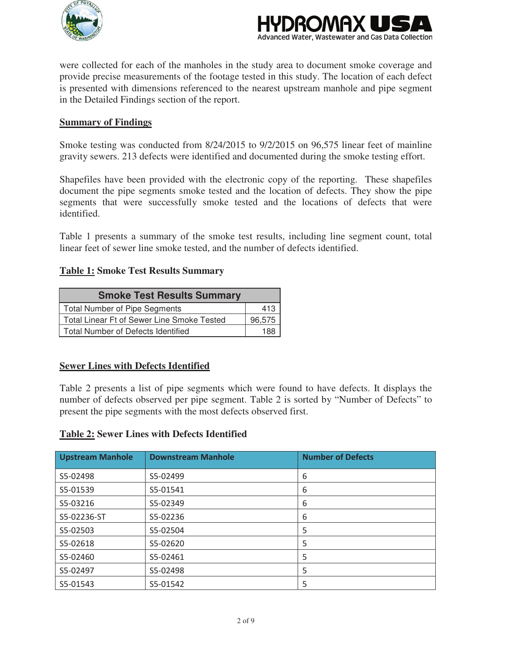



were collected for each of the manholes in the study area to document smoke coverage and provide precise measurements of the footage tested in this study. The location of each defect is presented with dimensions referenced to the nearest upstream manhole and pipe segment in the Detailed Findings section of the report.

#### **Summary of Findings**

Smoke testing was conducted from 8/24/2015 to 9/2/2015 on 96,575 linear feet of mainline gravity sewers. 213 defects were identified and documented during the smoke testing effort.

Shapefiles have been provided with the electronic copy of the reporting. These shapefiles document the pipe segments smoke tested and the location of defects. They show the pipe segments that were successfully smoke tested and the locations of defects that were identified.

Table 1 presents a summary of the smoke test results, including line segment count, total linear feet of sewer line smoke tested, and the number of defects identified.

#### **Table 1: Smoke Test Results Summary**

| <b>Smoke Test Results Summary</b>          |        |  |
|--------------------------------------------|--------|--|
| Total Number of Pipe Segments              | 413    |  |
| Total Linear Ft of Sewer Line Smoke Tested | 96,575 |  |
| Total Number of Defects Identified         | 188    |  |

#### **Sewer Lines with Defects Identified**

Table 2 presents a list of pipe segments which were found to have defects. It displays the number of defects observed per pipe segment. Table 2 is sorted by "Number of Defects" to present the pipe segments with the most defects observed first.

#### **Table 2: Sewer Lines with Defects Identified**

| <b>Upstream Manhole</b> | <b>Downstream Manhole</b> | <b>Number of Defects</b> |
|-------------------------|---------------------------|--------------------------|
| S5-02498                | S5-02499                  | 6                        |
| S5-01539                | S5-01541                  | 6                        |
| S5-03216                | S5-02349                  | 6                        |
| S5-02236-ST             | S5-02236                  | 6                        |
| S5-02503                | S5-02504                  | 5                        |
| S5-02618                | S5-02620                  | 5                        |
| S5-02460                | S5-02461                  | 5                        |
| S5-02497                | S5-02498                  | 5                        |
| S5-01543                | S5-01542                  | 5                        |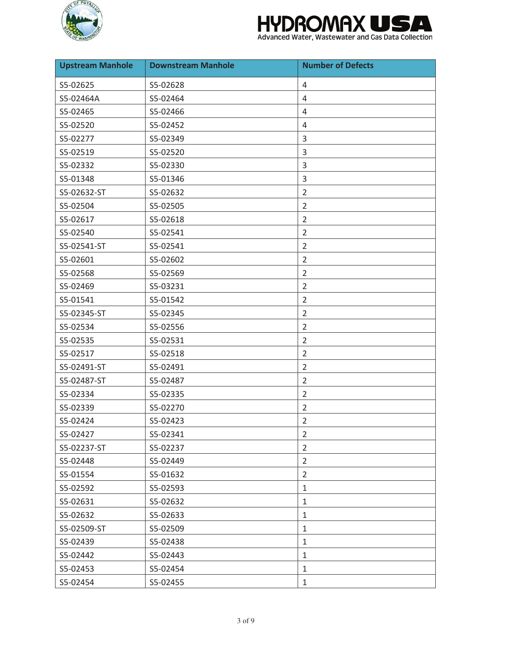



| <b>Upstream Manhole</b> | <b>Downstream Manhole</b> | <b>Number of Defects</b> |
|-------------------------|---------------------------|--------------------------|
| S5-02625                | S5-02628                  | 4                        |
| S5-02464A               | S5-02464                  | $\overline{4}$           |
| S5-02465                | S5-02466                  | 4                        |
| S5-02520                | S5-02452                  | 4                        |
| S5-02277                | S5-02349                  | 3                        |
| S5-02519                | S5-02520                  | 3                        |
| S5-02332                | S5-02330                  | 3                        |
| S5-01348                | S5-01346                  | 3                        |
| S5-02632-ST             | S5-02632                  | $\overline{2}$           |
| S5-02504                | S5-02505                  | $\overline{2}$           |
| S5-02617                | S5-02618                  | $\overline{2}$           |
| S5-02540                | S5-02541                  | $\overline{2}$           |
| S5-02541-ST             | S5-02541                  | $\overline{2}$           |
| S5-02601                | S5-02602                  | $\overline{2}$           |
| S5-02568                | S5-02569                  | $\overline{2}$           |
| S5-02469                | S5-03231                  | $\overline{2}$           |
| S5-01541                | S5-01542                  | $\overline{2}$           |
| S5-02345-ST             | S5-02345                  | $\overline{2}$           |
| S5-02534                | S5-02556                  | $\overline{2}$           |
| S5-02535                | S5-02531                  | $\overline{2}$           |
| S5-02517                | S5-02518                  | $\overline{2}$           |
| S5-02491-ST             | S5-02491                  | $\overline{2}$           |
| S5-02487-ST             | S5-02487                  | $\overline{2}$           |
| S5-02334                | S5-02335                  | $\overline{2}$           |
| S5-02339                | S5-02270                  | $\overline{2}$           |
| S5-02424                | S5-02423                  | $\overline{2}$           |
| S5-02427                | S5-02341                  | 2                        |
| S5-02237-ST             | S5-02237                  | $\overline{2}$           |
| S5-02448                | S5-02449                  | $\overline{2}$           |
| S5-01554                | S5-01632                  | $\overline{2}$           |
| S5-02592                | S5-02593                  | 1                        |
| S5-02631                | S5-02632                  | $\mathbf{1}$             |
| S5-02632                | S5-02633                  | 1                        |
| S5-02509-ST             | S5-02509                  | $\mathbf{1}$             |
| S5-02439                | S5-02438                  | $\mathbf{1}$             |
| S5-02442                | S5-02443                  | $\mathbf{1}$             |
| S5-02453                | S5-02454                  | $\mathbf{1}$             |
| S5-02454                | S5-02455                  | $\mathbf{1}$             |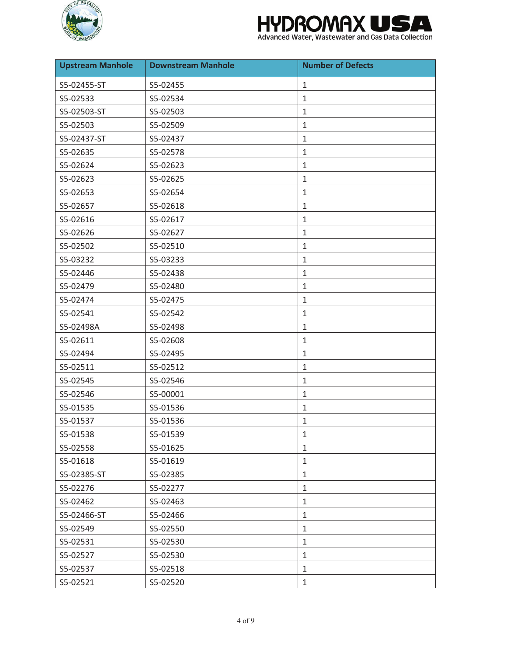



| <b>Upstream Manhole</b> | <b>Downstream Manhole</b> | <b>Number of Defects</b> |
|-------------------------|---------------------------|--------------------------|
| S5-02455-ST             | S5-02455                  | 1                        |
| S5-02533                | S5-02534                  | $\mathbf{1}$             |
| S5-02503-ST             | S5-02503                  | $\mathbf{1}$             |
| S5-02503                | S5-02509                  | $\mathbf{1}$             |
| S5-02437-ST             | S5-02437                  | $\mathbf{1}$             |
| S5-02635                | S5-02578                  | $\mathbf{1}$             |
| S5-02624                | S5-02623                  | 1                        |
| S5-02623                | S5-02625                  | $\mathbf{1}$             |
| S5-02653                | S5-02654                  | $\mathbf{1}$             |
| S5-02657                | S5-02618                  | $\mathbf{1}$             |
| S5-02616                | S5-02617                  | $\mathbf{1}$             |
| S5-02626                | S5-02627                  | $\mathbf{1}$             |
| S5-02502                | S5-02510                  | $\mathbf{1}$             |
| S5-03232                | S5-03233                  | 1                        |
| S5-02446                | S5-02438                  | $\mathbf{1}$             |
| S5-02479                | S5-02480                  | $\mathbf 1$              |
| S5-02474                | S5-02475                  | $\mathbf{1}$             |
| S5-02541                | S5-02542                  | $\mathbf{1}$             |
| S5-02498A               | S5-02498                  | $\mathbf{1}$             |
| S5-02611                | S5-02608                  | $\mathbf{1}$             |
| S5-02494                | S5-02495                  | $\mathbf{1}$             |
| S5-02511                | S5-02512                  | $\mathbf{1}$             |
| S5-02545                | S5-02546                  | $\mathbf{1}$             |
| S5-02546                | S5-00001                  | $\mathbf{1}$             |
| S5-01535                | S5-01536                  | $\mathbf{1}$             |
| S5-01537                | S5-01536                  | $\mathbf{1}$             |
| S5-01538                | S5-01539                  | $\mathbf{1}$             |
| S5-02558                | S5-01625                  | $\mathbf{1}$             |
| S5-01618                | S5-01619                  | $\mathbf{1}$             |
| S5-02385-ST             | S5-02385                  | $\mathbf{1}$             |
| S5-02276                | S5-02277                  | $\mathbf{1}$             |
| S5-02462                | S5-02463                  | $\mathbf{1}$             |
| S5-02466-ST             | S5-02466                  | $\mathbf{1}$             |
| S5-02549                | S5-02550                  | $\mathbf{1}$             |
| S5-02531                | S5-02530                  | $\mathbf{1}$             |
| S5-02527                | S5-02530                  | $\mathbf{1}$             |
| S5-02537                | S5-02518                  | $\mathbf{1}$             |
| S5-02521                | S5-02520                  | $\mathbf{1}$             |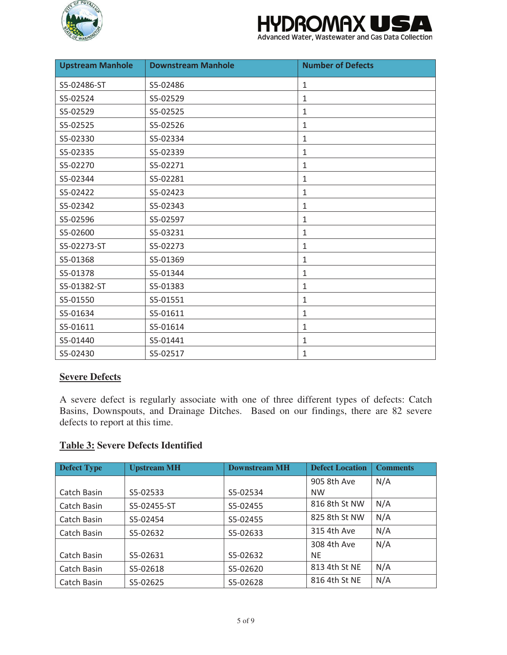



| <b>Upstream Manhole</b> | <b>Downstream Manhole</b> | <b>Number of Defects</b> |
|-------------------------|---------------------------|--------------------------|
| S5-02486-ST             | S5-02486                  | 1                        |
| S5-02524                | S5-02529                  | 1                        |
| S5-02529                | S5-02525                  | 1                        |
| S5-02525                | S5-02526                  | $\mathbf{1}$             |
| S5-02330                | S5-02334                  | $\mathbf{1}$             |
| S5-02335                | S5-02339                  | 1                        |
| S5-02270                | S5-02271                  | 1                        |
| S5-02344                | S5-02281                  | 1                        |
| S5-02422                | S5-02423                  | 1                        |
| S5-02342                | S5-02343                  | 1                        |
| S5-02596                | S5-02597                  | $\mathbf{1}$             |
| S5-02600                | S5-03231                  | 1                        |
| S5-02273-ST             | S5-02273                  | 1                        |
| S5-01368                | S5-01369                  | 1                        |
| S5-01378                | S5-01344                  | 1                        |
| S5-01382-ST             | S5-01383                  | 1                        |
| S5-01550                | S5-01551                  | $\mathbf{1}$             |
| S5-01634                | S5-01611                  | 1                        |
| S5-01611                | S5-01614                  | 1                        |
| S5-01440                | S5-01441                  | 1                        |
| S5-02430                | S5-02517                  | 1                        |

## **Severe Defects**

A severe defect is regularly associate with one of three different types of defects: Catch Basins, Downspouts, and Drainage Ditches. Based on our findings, there are 82 severe defects to report at this time.

#### **Table 3: Severe Defects Identified**

| Defect Type | <b>Upstream MH</b> | <b>Downstream MH</b> | <b>Defect Location</b> | <b>Comments</b> |
|-------------|--------------------|----------------------|------------------------|-----------------|
|             |                    |                      | 905 8th Ave            | N/A             |
| Catch Basin | S5-02533           | S5-02534             | <b>NW</b>              |                 |
| Catch Basin | S5-02455-ST        | S5-02455             | 816 8th St NW          | N/A             |
| Catch Basin | S5-02454           | S5-02455             | 825 8th St NW          | N/A             |
| Catch Basin | S5-02632           | S5-02633             | 315 4th Ave            | N/A             |
|             |                    |                      | 308 4th Ave            | N/A             |
| Catch Basin | S5-02631           | S5-02632             | <b>NE</b>              |                 |
| Catch Basin | S5-02618           | S5-02620             | 813 4th St NE          | N/A             |
| Catch Basin | S5-02625           | S5-02628             | 816 4th St NE          | N/A             |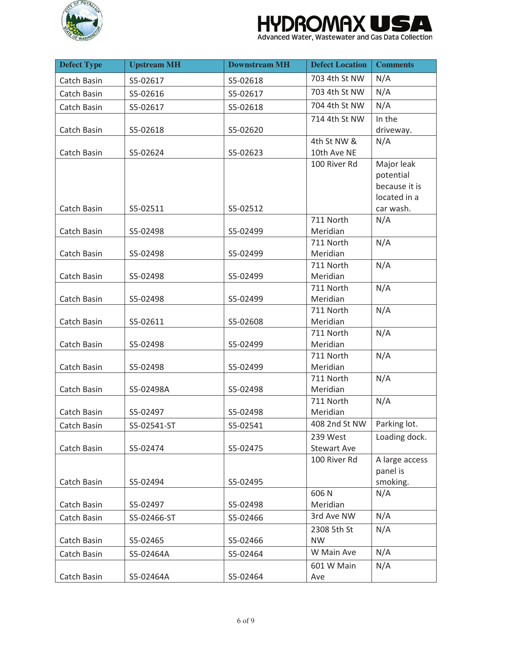

#### **HYDROMAXI** W W

| <b>Defect Type</b> | <b>Upstream MH</b> | <b>Downstream MH</b> | <b>Defect Location</b> | <b>Comments</b>               |
|--------------------|--------------------|----------------------|------------------------|-------------------------------|
| Catch Basin        | S5-02617           | S5-02618             | 703 4th St NW          | N/A                           |
| Catch Basin        | S5-02616           | S5-02617             | 703 4th St NW          | N/A                           |
| Catch Basin        | S5-02617           | S5-02618             | 704 4th St NW          | N/A                           |
|                    |                    |                      | 714 4th St NW          | In the                        |
| Catch Basin        | S5-02618           | S5-02620             |                        | driveway.                     |
|                    |                    |                      | 4th St NW &            | N/A                           |
| Catch Basin        | S5-02624           | S5-02623             | 10th Ave NE            |                               |
|                    |                    |                      | 100 River Rd           | Major leak                    |
|                    |                    |                      |                        | potential                     |
|                    |                    |                      |                        | because it is<br>located in a |
| Catch Basin        | S5-02511           | S5-02512             |                        | car wash.                     |
|                    |                    |                      | 711 North              | N/A                           |
| Catch Basin        | S5-02498           | S5-02499             | Meridian               |                               |
|                    |                    |                      | 711 North              | N/A                           |
| Catch Basin        | S5-02498           | S5-02499             | Meridian               |                               |
|                    |                    |                      | 711 North              | N/A                           |
| Catch Basin        | S5-02498           | S5-02499             | Meridian               |                               |
|                    |                    |                      | 711 North              | N/A                           |
| Catch Basin        | S5-02498           | S5-02499             | Meridian               |                               |
|                    |                    |                      | 711 North              | N/A                           |
| Catch Basin        | S5-02611           | S5-02608             | Meridian               |                               |
|                    |                    |                      | 711 North              | N/A                           |
| Catch Basin        | S5-02498           | S5-02499             | Meridian               |                               |
|                    |                    |                      | 711 North              | N/A                           |
| Catch Basin        | S5-02498           | S5-02499             | Meridian               |                               |
|                    |                    |                      | 711 North<br>Meridian  | N/A                           |
| Catch Basin        | S5-02498A          | S5-02498             | 711 North              | N/A                           |
| Catch Basin        | S5-02497           | S5-02498             | Meridian               |                               |
| Catch Basin        | S5-02541-ST        | S5-02541             | 408 2nd St NW          | Parking lot.                  |
|                    |                    |                      | 239 West               | Loading dock.                 |
| Catch Basin        | S5-02474           | S5-02475             | <b>Stewart Ave</b>     |                               |
|                    |                    |                      | 100 River Rd           | A large access                |
|                    |                    |                      |                        | panel is                      |
| Catch Basin        | S5-02494           | S5-02495             |                        | smoking.                      |
|                    |                    |                      | 606N                   | N/A                           |
| Catch Basin        | S5-02497           | S5-02498             | Meridian               |                               |
| Catch Basin        | S5-02466-ST        | S5-02466             | 3rd Ave NW             | N/A                           |
|                    |                    |                      | 2308 5th St            | N/A                           |
| Catch Basin        | S5-02465           | S5-02466             | <b>NW</b>              |                               |
| Catch Basin        | S5-02464A          | S5-02464             | W Main Ave             | N/A                           |
|                    |                    |                      | 601 W Main             | N/A                           |
| Catch Basin        | S5-02464A          | S5-02464             | Ave                    |                               |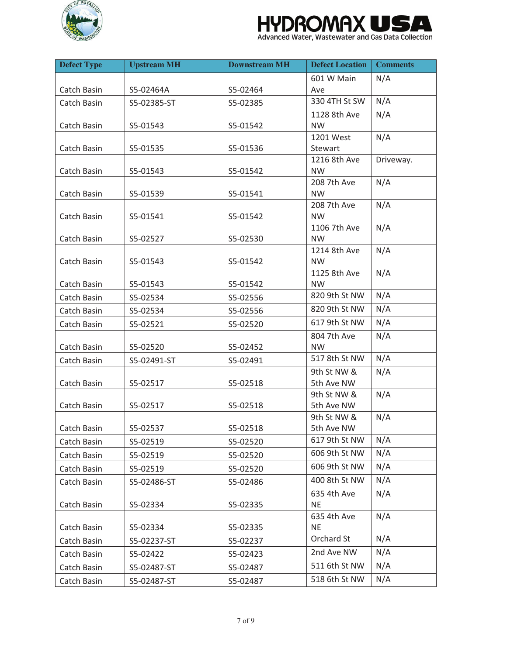

#### **HYDROMAXI** W W

| <b>Defect Type</b> | <b>Upstream MH</b> | <b>Downstream MH</b> | <b>Defect Location</b>      | <b>Comments</b> |
|--------------------|--------------------|----------------------|-----------------------------|-----------------|
|                    |                    |                      | 601 W Main                  | N/A             |
| Catch Basin        | S5-02464A          | S5-02464             | Ave                         |                 |
| Catch Basin        | S5-02385-ST        | S5-02385             | 330 4TH St SW               | N/A             |
|                    |                    |                      | 1128 8th Ave                | N/A             |
| Catch Basin        | S5-01543           | S5-01542             | <b>NW</b>                   |                 |
|                    |                    |                      | 1201 West                   | N/A             |
| Catch Basin        | S5-01535           | S5-01536             | Stewart                     |                 |
|                    |                    |                      | 1216 8th Ave                | Driveway.       |
| Catch Basin        | S5-01543           | S5-01542             | <b>NW</b><br>208 7th Ave    | N/A             |
| Catch Basin        | S5-01539           | S5-01541             | <b>NW</b>                   |                 |
|                    |                    |                      | 208 7th Ave                 | N/A             |
| Catch Basin        | S5-01541           | S5-01542             | <b>NW</b>                   |                 |
|                    |                    |                      | 1106 7th Ave                | N/A             |
| Catch Basin        | S5-02527           | S5-02530             | <b>NW</b>                   |                 |
|                    |                    |                      | 1214 8th Ave                | N/A             |
| Catch Basin        | S5-01543           | S5-01542             | <b>NW</b>                   |                 |
|                    |                    |                      | 1125 8th Ave                | N/A             |
| Catch Basin        | S5-01543           | S5-01542             | <b>NW</b>                   |                 |
| Catch Basin        | S5-02534           | S5-02556             | 820 9th St NW               | N/A             |
| Catch Basin        | S5-02534           | S5-02556             | 820 9th St NW               | N/A             |
| Catch Basin        | S5-02521           | S5-02520             | 617 9th St NW               | N/A             |
|                    |                    |                      | 804 7th Ave                 | N/A             |
| Catch Basin        | S5-02520           | S5-02452             | <b>NW</b>                   |                 |
| Catch Basin        | S5-02491-ST        | S5-02491             | 517 8th St NW               | N/A             |
|                    |                    |                      | 9th St NW &                 | N/A             |
| Catch Basin        | S5-02517           | S5-02518             | 5th Ave NW                  |                 |
|                    |                    |                      | 9th St NW &                 | N/A             |
| Catch Basin        | S5-02517           | S5-02518             | 5th Ave NW                  |                 |
| Catch Basin        | S5-02537           | S5-02518             | 9th St NW &                 | N/A             |
|                    |                    |                      | 5th Ave NW<br>617 9th St NW | N/A             |
| Catch Basin        | S5-02519           | S5-02520             | 606 9th St NW               | N/A             |
| Catch Basin        | S5-02519           | S5-02520             |                             |                 |
| Catch Basin        | S5-02519           | S5-02520             | 606 9th St NW               | N/A             |
| Catch Basin        | S5-02486-ST        | S5-02486             | 400 8th St NW               | N/A             |
|                    |                    |                      | 635 4th Ave                 | N/A             |
| Catch Basin        | S5-02334           | S5-02335             | <b>NE</b>                   |                 |
| Catch Basin        |                    |                      | 635 4th Ave<br><b>NE</b>    | N/A             |
|                    | S5-02334           | S5-02335             | Orchard St                  | N/A             |
| Catch Basin        | S5-02237-ST        | S5-02237             |                             |                 |
| Catch Basin        | S5-02422           | S5-02423             | 2nd Ave NW                  | N/A             |
| Catch Basin        | S5-02487-ST        | S5-02487             | 511 6th St NW               | N/A             |
| Catch Basin        | S5-02487-ST        | S5-02487             | 518 6th St NW               | N/A             |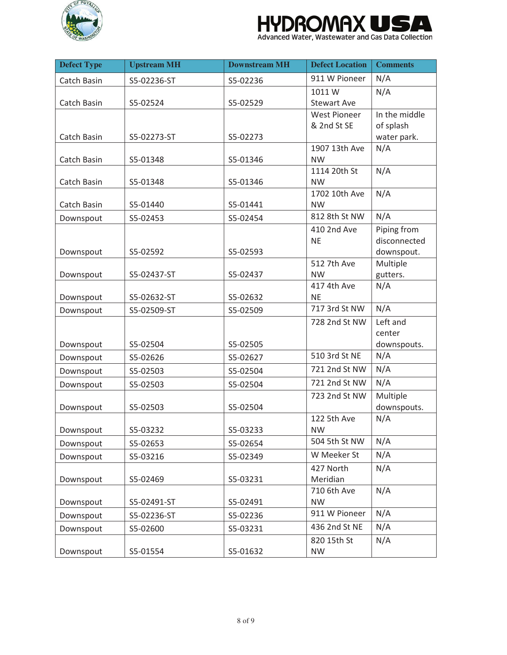



| <b>Defect Type</b> | <b>Upstream MH</b> | <b>Downstream MH</b> | <b>Defect Location</b>     | <b>Comments</b>             |
|--------------------|--------------------|----------------------|----------------------------|-----------------------------|
| <b>Catch Basin</b> | S5-02236-ST        | S5-02236             | 911 W Pioneer              | N/A                         |
|                    |                    |                      | 1011W                      | N/A                         |
| Catch Basin        | S5-02524           | S5-02529             | <b>Stewart Ave</b>         |                             |
|                    |                    |                      | <b>West Pioneer</b>        | In the middle               |
|                    |                    |                      | & 2nd St SE                | of splash                   |
| Catch Basin        | S5-02273-ST        | S5-02273             |                            | water park.                 |
|                    |                    |                      | 1907 13th Ave              | N/A                         |
| Catch Basin        | S5-01348           | S5-01346             | <b>NW</b>                  |                             |
|                    |                    |                      | 1114 20th St               | N/A                         |
| Catch Basin        | S5-01348           | S5-01346             | <b>NW</b>                  |                             |
| Catch Basin        | S5-01440           | S5-01441             | 1702 10th Ave<br><b>NW</b> | N/A                         |
|                    |                    |                      | 812 8th St NW              | N/A                         |
| Downspout          | S5-02453           | S5-02454             |                            |                             |
|                    |                    |                      | 410 2nd Ave<br><b>NE</b>   | Piping from<br>disconnected |
| Downspout          | S5-02592           | S5-02593             |                            | downspout.                  |
|                    |                    |                      | 512 7th Ave                | Multiple                    |
| Downspout          | S5-02437-ST        | S5-02437             | <b>NW</b>                  | gutters.                    |
|                    |                    |                      | 417 4th Ave                | N/A                         |
| Downspout          | S5-02632-ST        | S5-02632             | <b>NE</b>                  |                             |
| Downspout          | S5-02509-ST        | S5-02509             | 717 3rd St NW              | N/A                         |
|                    |                    |                      | 728 2nd St NW              | Left and                    |
|                    |                    |                      |                            | center                      |
| Downspout          | S5-02504           | S5-02505             |                            | downspouts.                 |
| Downspout          | S5-02626           | S5-02627             | 510 3rd St NE              | N/A                         |
| Downspout          | S5-02503           | S5-02504             | 721 2nd St NW              | N/A                         |
| Downspout          | S5-02503           | S5-02504             | 721 2nd St NW              | N/A                         |
|                    |                    |                      | 723 2nd St NW              | Multiple                    |
| Downspout          | S5-02503           | S5-02504             |                            | downspouts.                 |
|                    |                    |                      | 122 5th Ave                | N/A                         |
| Downspout          | S5-03232           | S5-03233             | <b>NW</b>                  |                             |
| Downspout          | S5-02653           | S5-02654             | 504 5th St NW              | N/A                         |
| Downspout          | S5-03216           | S5-02349             | W Meeker St                | N/A                         |
|                    |                    |                      | 427 North                  | N/A                         |
| Downspout          | S5-02469           | S5-03231             | Meridian                   |                             |
|                    |                    |                      | 710 6th Ave                | N/A                         |
| Downspout          | S5-02491-ST        | S5-02491             | <b>NW</b>                  |                             |
| Downspout          | S5-02236-ST        | S5-02236             | 911 W Pioneer              | N/A                         |
| Downspout          | S5-02600           | S5-03231             | 436 2nd St NE              | N/A                         |
|                    |                    |                      | 820 15th St                | N/A                         |
| Downspout          | S5-01554           | S5-01632             | <b>NW</b>                  |                             |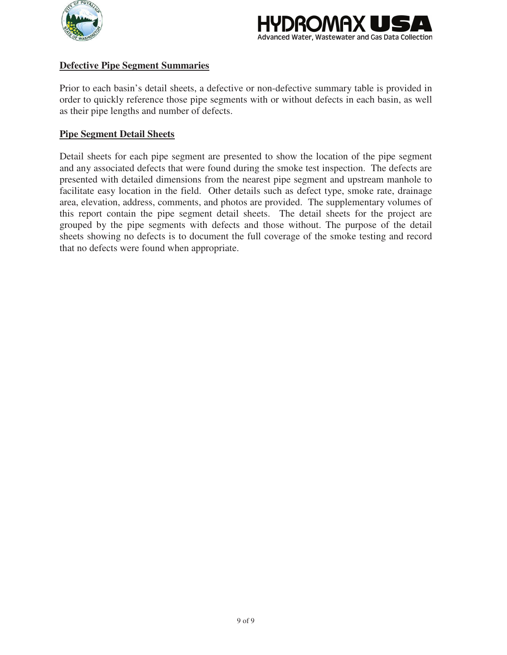



#### **Defective Pipe Segment Summaries**

Prior to each basin's detail sheets, a defective or non-defective summary table is provided in order to quickly reference those pipe segments with or without defects in each basin, as well as their pipe lengths and number of defects.

#### **Pipe Segment Detail Sheets**

Detail sheets for each pipe segment are presented to show the location of the pipe segment and any associated defects that were found during the smoke test inspection. The defects are presented with detailed dimensions from the nearest pipe segment and upstream manhole to facilitate easy location in the field. Other details such as defect type, smoke rate, drainage area, elevation, address, comments, and photos are provided. The supplementary volumes of this report contain the pipe segment detail sheets. The detail sheets for the project are grouped by the pipe segments with defects and those without. The purpose of the detail sheets showing no defects is to document the full coverage of the smoke testing and record that no defects were found when appropriate.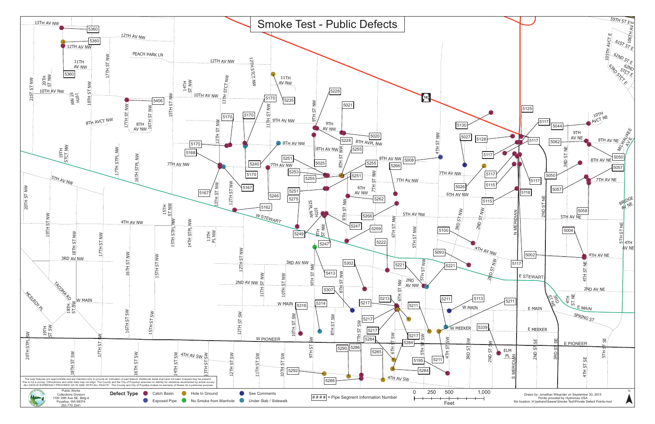